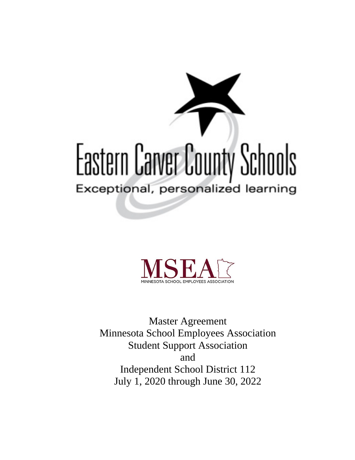# Eastern Carver County Schools Exceptional, personalized learning



Master Agreement Minnesota School Employees Association Student Support Association and Independent School District 112 July 1, 2020 through June 30, 2022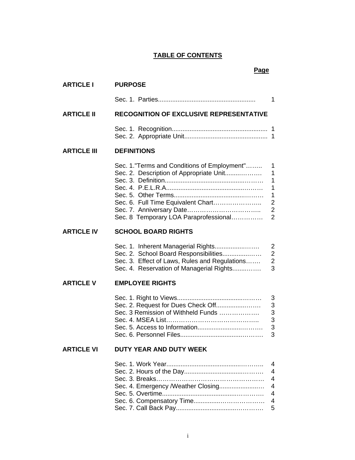# **TABLE OF CONTENTS**

#### **Page**

| <b>ARTICLE I</b>   | <b>PURPOSE</b>                                                                                                                                                           |                                                                                                             |
|--------------------|--------------------------------------------------------------------------------------------------------------------------------------------------------------------------|-------------------------------------------------------------------------------------------------------------|
|                    |                                                                                                                                                                          | 1                                                                                                           |
| <b>ARTICLE II</b>  | <b>RECOGNITION OF EXCLUSIVE REPRESENTATIVE</b>                                                                                                                           |                                                                                                             |
|                    |                                                                                                                                                                          |                                                                                                             |
| <b>ARTICLE III</b> | <b>DEFINITIONS</b>                                                                                                                                                       |                                                                                                             |
|                    | Sec. 1."Terms and Conditions of Employment"<br>Sec. 2. Description of Appropriate Unit<br>Sec. 6. Full Time Equivalent Chart<br>Sec. 8 Temporary LOA Paraprofessional    | 1<br>$\mathbf{1}$<br>1<br>$\mathbf{1}$<br>$\mathbf{1}$<br>$\boldsymbol{2}$<br>$\mathbf 2$<br>$\overline{2}$ |
| <b>ARTICLE IV</b>  | <b>SCHOOL BOARD RIGHTS</b>                                                                                                                                               |                                                                                                             |
|                    | Sec. 1. Inherent Managerial Rights<br>Sec. 2. School Board Responsibilities<br>Sec. 3. Effect of Laws, Rules and Regulations<br>Sec. 4. Reservation of Managerial Rights | $\overline{2}$<br>$\overline{2}$<br>$\overline{2}$<br>3                                                     |
| <b>ARTICLE V</b>   | <b>EMPLOYEE RIGHTS</b>                                                                                                                                                   |                                                                                                             |
|                    | Sec. 2. Request for Dues Check Off<br>Sec. 3 Remission of Withheld Funds                                                                                                 | $\mathfrak{B}$<br>$\mathsf 3$<br>3<br>3<br>3<br>3                                                           |
| <b>ARTICLE VI</b>  | <b>DUTY YEAR AND DUTY WEEK</b>                                                                                                                                           |                                                                                                             |
|                    | Sec. 4. Emergency /Weather Closing                                                                                                                                       | 4<br>4<br>$\overline{4}$<br>$\overline{4}$<br>$\overline{4}$<br>4<br>5                                      |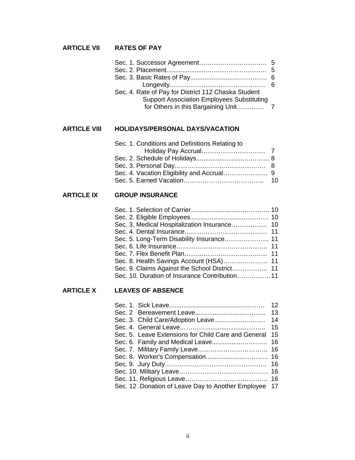# **ARTICLE VII RATES OF PAY**

| Sec. 4. Rate of Pay for District 112 Chaska Student |  |
|-----------------------------------------------------|--|
| <b>Support Association Employees Substituting</b>   |  |
|                                                     |  |
|                                                     |  |

# **ARTICLE VIII HOLIDAYS/PERSONAL DAYS/VACATION**

| Sec. 1. Conditions and Definitions Relating to |  |
|------------------------------------------------|--|
|                                                |  |
|                                                |  |
|                                                |  |
|                                                |  |
|                                                |  |

# **ARTICLE IX GROUP INSURANCE**

| Sec. 10. Duration of Insurance Contribution11 |  |
|-----------------------------------------------|--|
|                                               |  |

# **ARTICLE X LEAVES OF ABSENCE**

|                                                       | 12 <sup>°</sup> |
|-------------------------------------------------------|-----------------|
|                                                       | 13              |
|                                                       | 14              |
|                                                       | 15              |
| Sec. 5. Leave Extensions for Child Care and General   | 15              |
|                                                       |                 |
|                                                       |                 |
|                                                       |                 |
|                                                       |                 |
|                                                       |                 |
|                                                       |                 |
| Sec. 12 .Donation of Leave Day to Another Employee 17 |                 |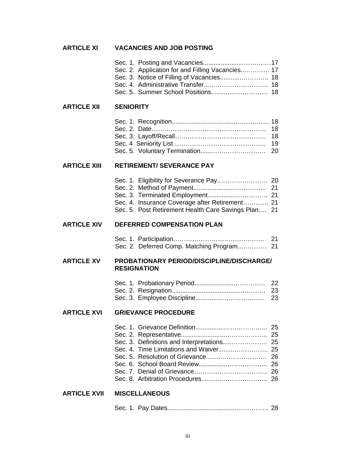| <b>ARTICLE XI</b>   | <b>VACANCIES AND JOB POSTING</b>                                                                                                                                                      |                      |
|---------------------|---------------------------------------------------------------------------------------------------------------------------------------------------------------------------------------|----------------------|
|                     | Sec. 2. Application for and Filling Vacancies 17<br>Sec. 3. Notice of Filling of Vacancies 18<br>Sec. 4. Administrative Transfer 18<br>Sec. 5. Summer School Positions 18             |                      |
| <b>ARTICLE XII</b>  | <b>SENIORITY</b>                                                                                                                                                                      |                      |
|                     |                                                                                                                                                                                       | 18<br>18<br>19<br>20 |
| <b>ARTICLE XIII</b> | <b>RETIREMENT/ SEVERANCE PAY</b>                                                                                                                                                      |                      |
|                     | Sec. 1. Eligibility for Severance Pay 20<br>Sec. 3. Terminated Employment 21<br>Sec. 4. Insurance Coverage after Retirement 21<br>Sec. 5. Post Retirement Health Care Savings Plan 21 |                      |
| <b>ARTICLE XIV</b>  | DEFERRED COMPENSATION PLAN                                                                                                                                                            |                      |
|                     |                                                                                                                                                                                       |                      |
| <b>ARTICLE XV</b>   | PROBATIONARY PERIOD/DISCIPLINE/DISCHARGE/<br><b>RESIGNATION</b>                                                                                                                       |                      |
|                     |                                                                                                                                                                                       | 23<br>23             |
| <b>ARTICLE XVI</b>  | <b>GRIEVANCE PROCEDURE</b>                                                                                                                                                            |                      |
|                     | Sec. 3. Definitions and Interpretations 25                                                                                                                                            |                      |
| <b>ARTICLE XVII</b> | <b>MISCELLANEOUS</b>                                                                                                                                                                  |                      |
|                     |                                                                                                                                                                                       |                      |

|--|--|--|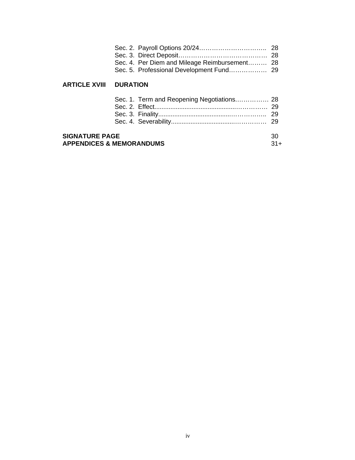|                                                              |                 | Sec. 4. Per Diem and Mileage Reimbursement 28 |             |
|--------------------------------------------------------------|-----------------|-----------------------------------------------|-------------|
| <b>ARTICLE XVIII</b>                                         | <b>DURATION</b> |                                               |             |
|                                                              |                 |                                               | -29         |
| <b>SIGNATURE PAGE</b><br><b>APPENDICES &amp; MEMORANDUMS</b> |                 |                                               | 30<br>$31+$ |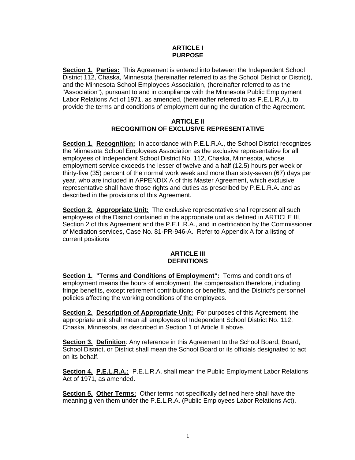# **ARTICLE I PURPOSE**

**Section 1. Parties:** This Agreement is entered into between the Independent School District 112, Chaska, Minnesota (hereinafter referred to as the School District or District), and the Minnesota School Employees Association, (hereinafter referred to as the "Association"), pursuant to and in compliance with the Minnesota Public Employment Labor Relations Act of 1971, as amended, (hereinafter referred to as P.E.L.R.A.), to provide the terms and conditions of employment during the duration of the Agreement.

# **ARTICLE II RECOGNITION OF EXCLUSIVE REPRESENTATIVE**

**Section 1. Recognition:** In accordance with P.E.L.R.A., the School District recognizes the Minnesota School Employees Association as the exclusive representative for all employees of Independent School District No. 112, Chaska, Minnesota, whose employment service exceeds the lesser of twelve and a half (12.5) hours per week or thirty-five (35) percent of the normal work week and more than sixty-seven (67) days per year, who are included in APPENDIX A of this Master Agreement, which exclusive representative shall have those rights and duties as prescribed by P.E.L.R.A. and as described in the provisions of this Agreement.

**Section 2. Appropriate Unit:** The exclusive representative shall represent all such employees of the District contained in the appropriate unit as defined in ARTICLE III, Section 2 of this Agreement and the P.E.L.R.A., and in certification by the Commissioner of Mediation services, Case No. 81-PR-946-A. Refer to Appendix A for a listing of current positions

# **ARTICLE III DEFINITIONS**

**Section 1. "Terms and Conditions of Employment":** Terms and conditions of employment means the hours of employment, the compensation therefore, including fringe benefits, except retirement contributions or benefits, and the District's personnel policies affecting the working conditions of the employees.

**Section 2. Description of Appropriate Unit:** For purposes of this Agreement, the appropriate unit shall mean all employees of Independent School District No. 112, Chaska, Minnesota, as described in Section 1 of Article II above.

**Section 3. Definition:** Any reference in this Agreement to the School Board, Board, School District, or District shall mean the School Board or its officials designated to act on its behalf.

**Section 4. P.E.L.R.A.:** P.E.L.R.A. shall mean the Public Employment Labor Relations Act of 1971, as amended.

**Section 5. Other Terms:** Other terms not specifically defined here shall have the meaning given them under the P.E.L.R.A. (Public Employees Labor Relations Act).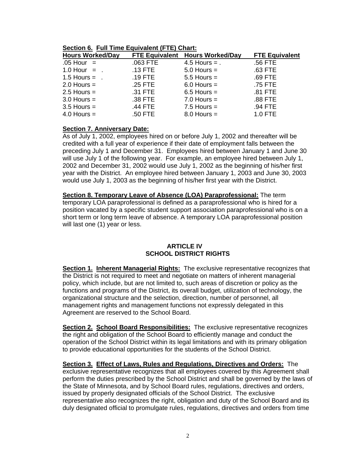**Section 6. Full Time Equivalent (FTE) Chart:**

| <b>Hours Worked/Day</b>      | <b>FTE Equivalent</b> | <b>Hours Worked/Day</b> | <b>FTE Equivalent</b> |
|------------------------------|-----------------------|-------------------------|-----------------------|
| $.05$ Hour $=$               | .063 FTE              | $4.5$ Hours = .         | .56 FTE               |
| $1.0$ Hour = .               | $.13$ FTE             | $5.0$ Hours =           | .63 FTE               |
| $1.5$ Hours = $\blacksquare$ | $.19$ FTE             | $5.5$ Hours =           | .69 FTE               |
| $2.0$ Hours =                | $.25$ FTE             | $6.0$ Hours =           | .75 FTE               |
| $2.5$ Hours =                | .31 FTE               | $6.5$ Hours =           | .81 FTE               |
| $3.0$ Hours =                | .38 FTE               | $7.0$ Hours =           | .88 FTE               |
| $3.5$ Hours =                | .44 FTE               | $7.5$ Hours =           | .94 FTE               |
| $4.0$ Hours =                | .50 FTE               | $8.0$ Hours =           | 1.0 FTE               |

# **Section 7. Anniversary Date:**

As of July 1, 2002, employees hired on or before July 1, 2002 and thereafter will be credited with a full year of experience if their date of employment falls between the preceding July 1 and December 31. Employees hired between January 1 and June 30 will use July 1 of the following year. For example, an employee hired between July 1, 2002 and December 31, 2002 would use July 1, 2002 as the beginning of his/her first year with the District. An employee hired between January 1, 2003 and June 30, 2003 would use July 1, 2003 as the beginning of his/her first year with the District.

**Section 8. Temporary Leave of Absence (LOA) Paraprofessional:** The term temporary LOA paraprofessional is defined as a paraprofessional who is hired for a position vacated by a specific student support association paraprofessional who is on a short term or long term leave of absence. A temporary LOA paraprofessional position will last one (1) year or less.

# **ARTICLE IV SCHOOL DISTRICT RIGHTS**

**Section 1. Inherent Managerial Rights:** The exclusive representative recognizes that the District is not required to meet and negotiate on matters of inherent managerial policy, which include, but are not limited to, such areas of discretion or policy as the functions and programs of the District, its overall budget, utilization of technology, the organizational structure and the selection, direction, number of personnel, all management rights and management functions not expressly delegated in this Agreement are reserved to the School Board.

**Section 2. School Board Responsibilities:** The exclusive representative recognizes the right and obligation of the School Board to efficiently manage and conduct the operation of the School District within its legal limitations and with its primary obligation to provide educational opportunities for the students of the School District.

**Section 3. Effect of Laws, Rules and Regulations, Directives and Orders:** The exclusive representative recognizes that all employees covered by this Agreement shall perform the duties prescribed by the School District and shall be governed by the laws of the State of Minnesota, and by School Board rules, regulations, directives and orders, issued by properly designated officials of the School District. The exclusive representative also recognizes the right, obligation and duty of the School Board and its duly designated official to promulgate rules, regulations, directives and orders from time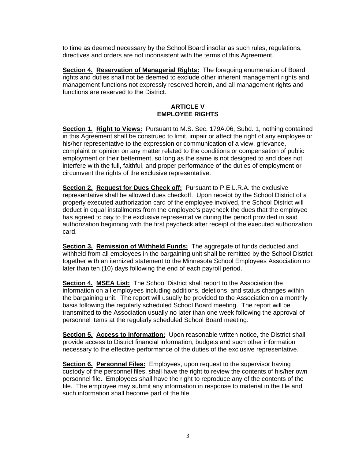to time as deemed necessary by the School Board insofar as such rules, regulations, directives and orders are not inconsistent with the terms of this Agreement.

**Section 4. Reservation of Managerial Rights:** The foregoing enumeration of Board rights and duties shall not be deemed to exclude other inherent management rights and management functions not expressly reserved herein, and all management rights and functions are reserved to the District.

# **ARTICLE V EMPLOYEE RIGHTS**

**Section 1. Right to Views:** Pursuant to M.S. Sec. 179A.06, Subd. 1, nothing contained in this Agreement shall be construed to limit, impair or affect the right of any employee or his/her representative to the expression or communication of a view, grievance, complaint or opinion on any matter related to the conditions or compensation of public employment or their betterment, so long as the same is not designed to and does not interfere with the full, faithful, and proper performance of the duties of employment or circumvent the rights of the exclusive representative.

**Section 2. Request for Dues Check off:** Pursuant to P.E.L.R.A. the exclusive representative shall be allowed dues checkoff. -Upon receipt by the School District of a properly executed authorization card of the employee involved, the School District will deduct in equal installments from the employee's paycheck the dues that the employee has agreed to pay to the exclusive representative during the period provided in said authorization beginning with the first paycheck after receipt of the executed authorization card.

**Section 3. Remission of Withheld Funds:** The aggregate of funds deducted and withheld from all employees in the bargaining unit shall be remitted by the School District together with an itemized statement to the Minnesota School Employees Association no later than ten (10) days following the end of each payroll period.

**Section 4. MSEA List:** The School District shall report to the Association the information on all employees including additions, deletions, and status changes within the bargaining unit. The report will usually be provided to the Association on a monthly basis following the regularly scheduled School Board meeting. The report will be transmitted to the Association usually no later than one week following the approval of personnel items at the regularly scheduled School Board meeting.

**Section 5. Access to Information:** Upon reasonable written notice, the District shall provide access to District financial information, budgets and such other information necessary to the effective performance of the duties of the exclusive representative.

**Section 6. Personnel Files:** Employees, upon request to the supervisor having custody of the personnel files, shall have the right to review the contents of his/her own personnel file. Employees shall have the right to reproduce any of the contents of the file. The employee may submit any information in response to material in the file and such information shall become part of the file.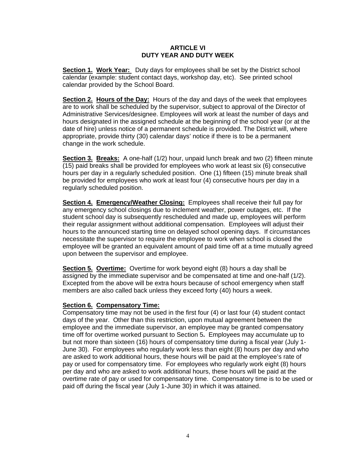# **ARTICLE VI DUTY YEAR AND DUTY WEEK**

**Section 1. Work Year:** Duty days for employees shall be set by the District school calendar (example: student contact days, workshop day, etc). See printed school calendar provided by the School Board.

**Section 2. Hours of the Day:** Hours of the day and days of the week that employees are to work shall be scheduled by the supervisor, subject to approval of the Director of Administrative Services/designee. Employees will work at least the number of days and hours designated in the assigned schedule at the beginning of the school year (or at the date of hire) unless notice of a permanent schedule is provided. The District will, where appropriate, provide thirty (30) calendar days' notice if there is to be a permanent change in the work schedule.

**Section 3. Breaks:** A one-half (1/2) hour, unpaid lunch break and two (2) fifteen minute (15) paid breaks shall be provided for employees who work at least six (6) consecutive hours per day in a regularly scheduled position. One (1) fifteen (15) minute break shall be provided for employees who work at least four (4) consecutive hours per day in a regularly scheduled position.

**Section 4. Emergency/Weather Closing:** Employees shall receive their full pay for any emergency school closings due to inclement weather, power outages, etc. If the student school day is subsequently rescheduled and made up, employees will perform their regular assignment without additional compensation. Employees will adjust their hours to the announced starting time on delayed school opening days. If circumstances necessitate the supervisor to require the employee to work when school is closed the employee will be granted an equivalent amount of paid time off at a time mutually agreed upon between the supervisor and employee.

**Section 5. Overtime:** Overtime for work beyond eight (8) hours a day shall be assigned by the immediate supervisor and be compensated at time and one-half (1/2). Excepted from the above will be extra hours because of school emergency when staff members are also called back unless they exceed forty (40) hours a week.

# **Section 6. Compensatory Time:**

Compensatory time may not be used in the first four (4) or last four (4) student contact days of the year. Other than this restriction, upon mutual agreement between the employee and the immediate supervisor, an employee may be granted compensatory time off for overtime worked pursuant to Section 5**.** Employees may accumulate up to but not more than sixteen (16) hours of compensatory time during a fiscal year (July 1- June 30). For employees who regularly work less than eight (8) hours per day and who are asked to work additional hours, these hours will be paid at the employee's rate of pay or used for compensatory time. For employees who regularly work eight (8) hours per day and who are asked to work additional hours, these hours will be paid at the overtime rate of pay or used for compensatory time. Compensatory time is to be used or paid off during the fiscal year (July 1-June 30) in which it was attained.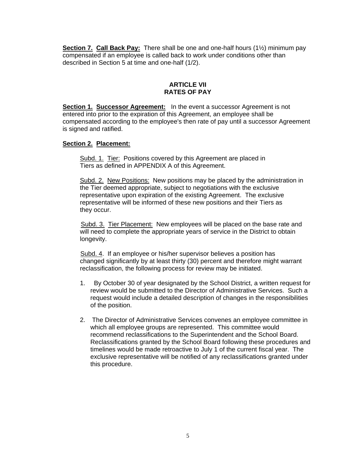**Section 7. Call Back Pay:** There shall be one and one-half hours (1½) minimum pay compensated if an employee is called back to work under conditions other than described in Section 5 at time and one-half (1/2).

# **ARTICLE VII RATES OF PAY**

**Section 1. Successor Agreement:** In the event a successor Agreement is not entered into prior to the expiration of this Agreement, an employee shall be compensated according to the employee's then rate of pay until a successor Agreement is signed and ratified.

# **Section 2. Placement:**

Subd. 1. Tier: Positions covered by this Agreement are placed in Tiers as defined in APPENDIX A of this Agreement.

Subd. 2. New Positions: New positions may be placed by the administration in the Tier deemed appropriate, subject to negotiations with the exclusive representative upon expiration of the existing Agreement. The exclusive representative will be informed of these new positions and their Tiers as they occur.

Subd. 3. Tier Placement: New employees will be placed on the base rate and will need to complete the appropriate years of service in the District to obtain longevity.

 Subd. 4. If an employee or his/her supervisor believes a position has changed significantly by at least thirty (30) percent and therefore might warrant reclassification, the following process for review may be initiated.

- 1. By October 30 of year designated by the School District, a written request for review would be submitted to the Director of Administrative Services. Such a request would include a detailed description of changes in the responsibilities of the position.
- 2. The Director of Administrative Services convenes an employee committee in which all employee groups are represented. This committee would recommend reclassifications to the Superintendent and the School Board. Reclassifications granted by the School Board following these procedures and timelines would be made retroactive to July 1 of the current fiscal year. The exclusive representative will be notified of any reclassifications granted under this procedure.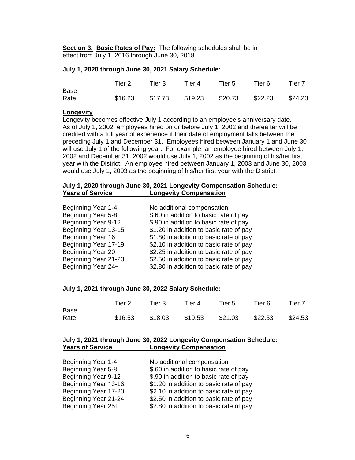**Section 3. Basic Rates of Pay:** The following schedules shall be in effect from July 1, 2016 through June 30, 2018

#### **July 1, 2020 through June 30, 2021 Salary Schedule:**

|       | Tier 2 | Tier 3 | Tier 4                                          | Tier 5 | Tier 6 | Tier 7 |
|-------|--------|--------|-------------------------------------------------|--------|--------|--------|
| Base  |        |        |                                                 |        |        |        |
| Rate: |        |        | \$16.23 \$17.73 \$19.23 \$20.73 \$22.23 \$24.23 |        |        |        |

#### **Longevity**

Longevity becomes effective July 1 according to an employee's anniversary date. As of July 1, 2002, employees hired on or before July 1, 2002 and thereafter will be credited with a full year of experience if their date of employment falls between the preceding July 1 and December 31. Employees hired between January 1 and June 30 will use July 1 of the following year. For example, an employee hired between July 1, 2002 and December 31, 2002 would use July 1, 2002 as the beginning of his/her first year with the District. An employee hired between January 1, 2003 and June 30, 2003 would use July 1, 2003 as the beginning of his/her first year with the District.

## **July 1, 2020 through June 30, 2021 Longevity Compensation Schedule: Longevity Compensation**

| No additional compensation              |
|-----------------------------------------|
| \$.60 in addition to basic rate of pay  |
| \$.90 in addition to basic rate of pay  |
| \$1.20 in addition to basic rate of pay |
| \$1.80 in addition to basic rate of pay |
| \$2.10 in addition to basic rate of pay |
| \$2.25 in addition to basic rate of pay |
| \$2.50 in addition to basic rate of pay |
| \$2.80 in addition to basic rate of pay |
|                                         |

#### **July 1, 2021 through June 30, 2022 Salary Schedule:**

|                      | Tier 2                                                | Tier 3 | Tier 4 | Tier 5 | Tier 6 | Tier 7 |
|----------------------|-------------------------------------------------------|--------|--------|--------|--------|--------|
| <b>Base</b><br>Rate: | $$16.53$ $$18.03$ $$19.53$ $$21.03$ $$22.53$ $$24.53$ |        |        |        |        |        |

#### **July 1, 2021 through June 30, 2022 Longevity Compensation Schedule: Longevity Compensation**

| Beginning Year 1-4   | No additional compensation              |
|----------------------|-----------------------------------------|
| Beginning Year 5-8   | \$.60 in addition to basic rate of pay  |
| Beginning Year 9-12  | \$.90 in addition to basic rate of pay  |
| Beginning Year 13-16 | \$1.20 in addition to basic rate of pay |
| Beginning Year 17-20 | \$2.10 in addition to basic rate of pay |
| Beginning Year 21-24 | \$2.50 in addition to basic rate of pay |
| Beginning Year 25+   | \$2.80 in addition to basic rate of pay |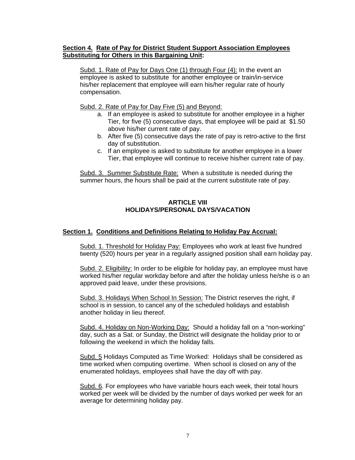# **Section 4. Rate of Pay for District Student Support Association Employees Substituting for Others in this Bargaining Unit:**

Subd. 1. Rate of Pay for Days One (1) through Four (4): In the event an employee is asked to substitute for another employee or train/in-service his/her replacement that employee will earn his/her regular rate of hourly compensation.

Subd. 2. Rate of Pay for Day Five (5) and Beyond:

- a. If an employee is asked to substitute for another employee in a higher Tier, for five (5) consecutive days, that employee will be paid at \$1.50 above his/her current rate of pay.
- b. After five (5) consecutive days the rate of pay is retro-active to the first day of substitution.
- c. If an employee is asked to substitute for another employee in a lower Tier, that employee will continue to receive his/her current rate of pay.

Subd. 3. Summer Substitute Rate: When a substitute is needed during the summer hours, the hours shall be paid at the current substitute rate of pay.

#### **ARTICLE VIII HOLIDAYS/PERSONAL DAYS/VACATION**

# **Section 1. Conditions and Definitions Relating to Holiday Pay Accrual:**

Subd. 1. Threshold for Holiday Pay: Employees who work at least five hundred twenty (520) hours per year in a regularly assigned position shall earn holiday pay.

Subd. 2. Eligibility: In order to be eligible for holiday pay, an employee must have worked his/her regular workday before and after the holiday unless he/she is o an approved paid leave, under these provisions.

Subd. 3. Holidays When School In Session: The District reserves the right, if school is in session, to cancel any of the scheduled holidays and establish another holiday in lieu thereof.

Subd. 4. Holiday on Non-Working Day: Should a holiday fall on a "non-working" day, such as a Sat. or Sunday, the District will designate the holiday prior to or following the weekend in which the holiday falls.

Subd. 5 Holidays Computed as Time Worked: Holidays shall be considered as time worked when computing overtime. When school is closed on any of the enumerated holidays, employees shall have the day off with pay.

Subd. 6. For employees who have variable hours each week, their total hours worked per week will be divided by the number of days worked per week for an average for determining holiday pay.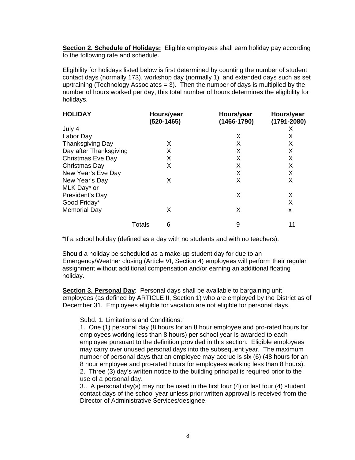**Section 2. Schedule of Holidays:** Eligible employees shall earn holiday pay according to the following rate and schedule.

Eligibility for holidays listed below is first determined by counting the number of student contact days (normally 173), workshop day (normally 1), and extended days such as set up/training (Technology Associates  $= 3$ ). Then the number of days is multiplied by the number of hours worked per day, this total number of hours determines the eligibility for holidays.

| <b>HOLIDAY</b>           |        | Hours/year<br>(520-1465) | Hours/year<br>$(1466 - 1790)$ | Hours/year<br>$(1791 - 2080)$ |
|--------------------------|--------|--------------------------|-------------------------------|-------------------------------|
| July 4                   |        |                          |                               | х                             |
| Labor Day                |        |                          | X                             | X                             |
| <b>Thanksgiving Day</b>  |        | X                        | X                             | X                             |
| Day after Thanksgiving   |        | X                        | X                             | X                             |
| <b>Christmas Eve Day</b> |        | X                        | X                             | X                             |
| Christmas Day            |        | X                        | X                             | X                             |
| New Year's Eve Day       |        |                          | X                             | X                             |
| New Year's Day           |        | Х                        | X                             | X                             |
| MLK Day* or              |        |                          |                               |                               |
| President's Day          |        |                          | X                             | Χ                             |
| Good Friday*             |        |                          |                               | X                             |
| <b>Memorial Day</b>      |        | Х                        | X                             | X                             |
|                          | Totals | 6                        | 9                             | 11                            |

\*If a school holiday (defined as a day with no students and with no teachers).

Should a holiday be scheduled as a make-up student day for due to an Emergency/Weather closing (Article VI, Section 4) employees will perform their regular assignment without additional compensation and/or earning an additional floating holiday.

**Section 3. Personal Day**: Personal days shall be available to bargaining unit employees (as defined by ARTICLE II, Section 1) who are employed by the District as of December 31. Employees eligible for vacation are not eligible for personal days.

#### Subd. 1. Limitations and Conditions:

1. One (1) personal day (8 hours for an 8 hour employee and pro-rated hours for employees working less than 8 hours) per school year is awarded to each employee pursuant to the definition provided in this section. Eligible employees may carry over unused personal days into the subsequent year. The maximum number of personal days that an employee may accrue is six (6) (48 hours for an 8 hour employee and pro-rated hours for employees working less than 8 hours). 2. Three (3) day's written notice to the building principal is required prior to the use of a personal day.

3.. A personal day(s) may not be used in the first four (4) or last four (4) student contact days of the school year unless prior written approval is received from the Director of Administrative Services/designee.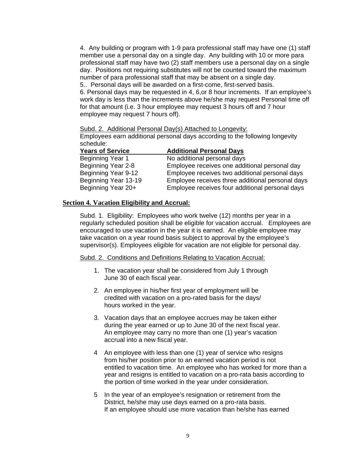4. Any building or program with 1-9 para professional staff may have one (1) staff member use a personal day on a single day. Any building with 10 or more para professional staff may have two (2) staff members use a personal day on a single day. Positions not requiring substitutes will not be counted toward the maximum number of para professional staff that may be absent on a single day. 5.. Personal days will be awarded on a first-come, first-served basis.

6. Personal days may be requested in 4, 6,or 8 hour increments. If an employee's work day is less than the increments above he/she may request Personal time off for that amount (i.e. 3 hour employee may request 3 hours off and 7 hour employee may request 7 hours off).

Subd. 2. Additional Personal Day(s) Attached to Longevity: Employees earn additional personal days according to the following longevity schedule:

| <b>Years of Service</b> | <b>Additional Personal Days</b>                  |
|-------------------------|--------------------------------------------------|
| Beginning Year 1        | No additional personal days                      |
| Beginning Year 2-8      | Employee receives one additional personal day    |
| Beginning Year 9-12     | Employee receives two additional personal days   |
| Beginning Year 13-19    | Employee receives three additional personal days |
| Beginning Year 20+      | Employee receives four additional personal days  |

# **Section 4. Vacation Eligibility and Accrual:**

Subd. 1. Eligibility: Employees who work twelve (12) months per year in a regularly scheduled position shall be eligible for vacation accrual. Employees are encouraged to use vacation in the year it is earned. An eligible employee may take vacation on a year round basis subject to approval by the employee's supervisor(s). Employees eligible for vacation are not eligible for personal day.

Subd. 2. Conditions and Definitions Relating to Vacation Accrual:

- 1. The vacation year shall be considered from July 1 through June 30 of each fiscal year.
- 2. An employee in his/her first year of employment will be credited with vacation on a pro-rated basis for the days/ hours worked in the year.
- 3. Vacation days that an employee accrues may be taken either during the year earned or up to June 30 of the next fiscal year. An employee may carry no more than one (1) year's vacation accrual into a new fiscal year.
- 4 An employee with less than one (1) year of service who resigns from his/her position prior to an earned vacation period is not entitled to vacation time. An employee who has worked for more than a year and resigns is entitled to vacation on a pro-rata basis according to the portion of time worked in the year under consideration.
- 5 In the year of an employee's resignation or retirement from the District, he/she may use days earned on a pro-rata basis. If an employee should use more vacation than he/she has earned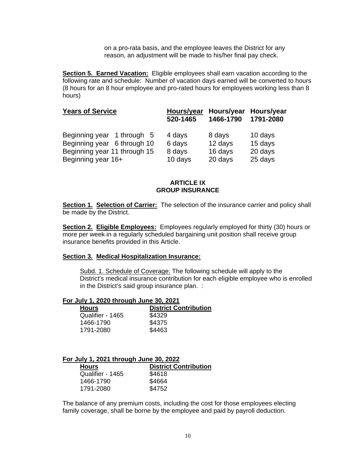on a pro-rata basis, and the employee leaves the District for any reason, an adjustment will be made to his/her final pay check.

**Section 5. Earned Vacation:** Eligible employees shall earn vacation according to the following rate and schedule: Number of vacation days earned will be converted to hours (8 hours for an 8 hour employee and pro-rated hours for employees working less than 8 hours)

| <b>Years of Service</b>      | Hours/year<br>520-1465 | Hours/year<br>1466-1790 | Hours/year<br>1791-2080 |
|------------------------------|------------------------|-------------------------|-------------------------|
| Beginning year 1 through 5   | 4 days                 | 8 days                  | 10 days                 |
| Beginning year 6 through 10  | 6 days                 | 12 days                 | 15 days                 |
| Beginning year 11 through 15 | 8 days                 | 16 days                 | 20 days                 |
| Beginning year 16+           | 10 days                | 20 days                 | 25 days                 |

# **ARTICLE IX GROUP INSURANCE**

**Section 1. Selection of Carrier:** The selection of the insurance carrier and policy shall be made by the District.

**Section 2. Eligible Employees:** Employees regularly employed for thirty (30) hours or more per week in a regularly scheduled bargaining unit position shall receive group insurance benefits provided in this Article.

### **Section 3. Medical Hospitalization Insurance:**

Subd. 1. Schedule of Coverage: The following schedule will apply to the District's medical insurance contribution for each eligible employee who is enrolled in the District's said group insurance plan. :

### **For July 1, 2020 through June 30, 2021**

| <b>Hours</b>     | <b>District Contribution</b> |
|------------------|------------------------------|
| Qualifier - 1465 | \$4329                       |
| 1466-1790        | \$4375                       |
| 1791-2080        | \$4463                       |

#### **For July 1, 2021 through June 30, 2022**

| <b>Hours</b>     | <b>District Contribution</b> |
|------------------|------------------------------|
| Qualifier - 1465 | \$4618                       |
| 1466-1790        | \$4664                       |
| 1791-2080        | \$4752                       |

The balance of any premium costs, including the cost for those employees electing family coverage, shall be borne by the employee and paid by payroll deduction.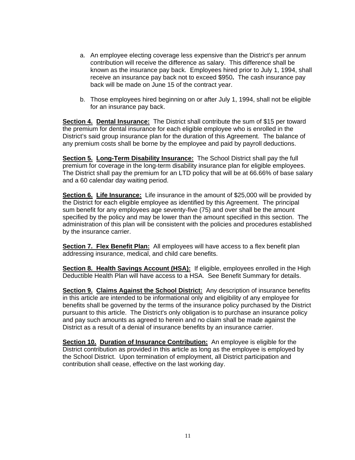- a. An employee electing coverage less expensive than the District's per annum contribution will receive the difference as salary. This difference shall be known as the insurance pay back. Employees hired prior to July 1, 1994, shall receive an insurance pay back not to exceed \$950**.** The cash insurance pay back will be made on June 15 of the contract year.
- b. Those employees hired beginning on or after July 1, 1994, shall not be eligible for an insurance pay back.

**Section 4. Dental Insurance:** The District shall contribute the sum of \$15 per toward the premium for dental insurance for each eligible employee who is enrolled in the District's said group insurance plan for the duration of this Agreement. The balance of any premium costs shall be borne by the employee and paid by payroll deductions.

**Section 5. Long-Term Disability Insurance:** The School District shall pay the full premium for coverage in the long-term disability insurance plan for eligible employees. The District shall pay the premium for an LTD policy that will be at 66.66% of base salary and a 60 calendar day waiting period.

**Section 6. Life Insurance:** Life insurance in the amount of \$25,000 will be provided by the District for each eligible employee as identified by this Agreement. The principal sum benefit for any employees age seventy-five (75) and over shall be the amount specified by the policy and may be lower than the amount specified in this section. The administration of this plan will be consistent with the policies and procedures established by the insurance carrier.

**Section 7. Flex Benefit Plan:** All employees will have access to a flex benefit plan addressing insurance, medical, and child care benefits.

**Section 8. Health Savings Account (HSA):** If eligible, employees enrolled in the High Deductible Health Plan will have access to a HSA. See Benefit Summary for details.

**Section 9. Claims Against the School District:** Any description of insurance benefits in this article are intended to be informational only and eligibility of any employee for benefits shall be governed by the terms of the insurance policy purchased by the District pursuant to this article. The District's only obligation is to purchase an insurance policy and pay such amounts as agreed to herein and no claim shall be made against the District as a result of a denial of insurance benefits by an insurance carrier.

**Section 10. Duration of Insurance Contribution:** An employee is eligible for the District contribution as provided in this article as long as the employee is employed by the School District. Upon termination of employment, all District participation and contribution shall cease, effective on the last working day.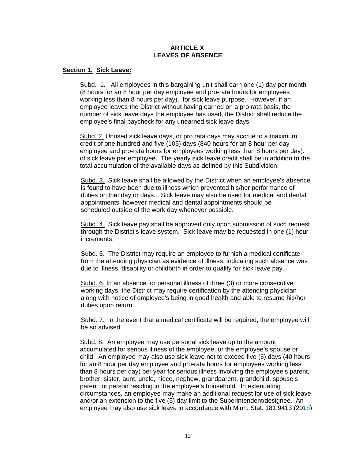# **ARTICLE X LEAVES OF ABSENCE**

# **Section 1. Sick Leave:**

Subd. 1. All employees in this bargaining unit shall earn one (1) day per month (8 hours for an 8 hour per day employee and pro-rata hours for employees working less than 8 hours per day). for sick leave purpose. However, if an employee leaves the District without having earned on a pro rata basis, the number of sick leave days the employee has used, the District shall reduce the employee's final paycheck for any unearned sick leave days.

Subd. 2. Unused sick leave days, or pro rata days may accrue to a maximum credit of one hundred and five (105) days (840 hours for an 8 hour per day employee and pro-rata hours for employees working less than 8 hours per day). of sick leave per employee. The yearly sick leave credit shall be in addition to the total accumulation of the available days as defined by this Subdivision.

Subd. 3. Sick leave shall be allowed by the District when an employee's absence is found to have been due to illness which prevented his/her performance of duties on that day or days. . Sick leave may also be used for medical and dental appointments, however medical and dental appointments should be scheduled outside of the work day whenever possible.

Subd. 4. Sick leave pay shall be approved only upon submission of such request through the District's leave system. Sick leave may be requested in one (1) hour increments.

Subd. 5. The District may require an employee to furnish a medical certificate from the attending physician as evidence of illness, indicating such absence was due to illness, disability or childbirth in order to qualify for sick leave pay.

Subd. 6. In an absence for personal illness of three (3) or more consecutive working days, the District may require certification by the attending physician along with notice of employee's being in good health and able to resume his/her duties upon return.

Subd. 7. In the event that a medical certificate will be required, the employee will be so advised.

Subd. 8. An employee may use personal sick leave up to the amount accumulated for serious illness of the employee, or the employee's spouse or child. An employee may also use sick leave not to exceed five (5) days (40 hours for an 8 hour per day employee and pro-rata hours for employees working less than 8 hours per day) per year for serious illness involving the employee's parent, brother, sister, aunt, uncle, niece, nephew, grandparent, grandchild, spouse's parent, or person residing in the employee's household. In extenuating circumstances, an employee may make an additional request for use of sick leave and/or an extension to the five (5) day limit to the Superintendent/designee. An employee may also use sick leave in accordance with Minn. Stat. 181.9413 (2018)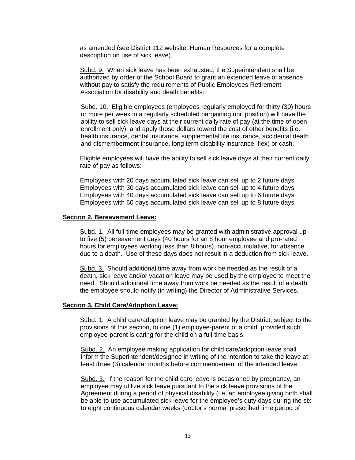as amended (see District 112 website, Human Resources for a complete description on use of sick leave).

Subd. 9. When sick leave has been exhausted, the Superintendent shall be authorized by order of the School Board to grant an extended leave of absence without pay to satisfy the requirements of Public Employees Retirement Association for disability and death benefits.

Subd. 10. Eligible employees (employees regularly employed for thirty (30) hours or more per week in a regularly scheduled bargaining unit position) will have the ability to sell sick leave days at their current daily rate of pay (at the time of open enrollment only), and apply those dollars toward the cost of other benefits (i.e. health insurance, dental insurance, supplemental life insurance, accidental death and dismemberment insurance, long term disability insurance, flex) or cash.

Eligible employees will have the ability to sell sick leave days at their current daily rate of pay as follows:

Employees with 20 days accumulated sick leave can sell up to 2 future days Employees with 30 days accumulated sick leave can sell up to 4 future days Employees with 40 days accumulated sick leave can sell up to 6 future days Employees with 60 days accumulated sick leave can sell up to 8 future days

#### **Section 2. Bereavement Leave:**

Subd. 1. All full-time employees may be granted with administrative approval up to five (5) bereavement days (40 hours for an 8 hour employee and pro-rated hours for employees working less than 8 hours), non-accumulative, for absence due to a death. Use of these days does not result in a deduction from sick leave.

Subd. 3. Should additional time away from work be needed as the result of a death, sick leave and/or vacation leave may be used by the employee to meet the need. Should additional time away from work be needed as the result of a death the employee should notify (in writing) the Director of Administrative Services.

#### **Section 3. Child Care/Adoption Leave:**

Subd. 1. A child care/adoption leave may be granted by the District, subject to the provisions of this section, to one (1) employee-parent of a child, provided such employee-parent is caring for the child on a full-time basis.

Subd. 2. An employee making application for child care/adoption leave shall inform the Superintendent/designee in writing of the intention to take the leave at least three (3) calendar months before commencement of the intended leave.

Subd. 3. If the reason for the child care leave is occasioned by pregnancy, an employee may utilize sick leave pursuant to the sick leave provisions of the Agreement during a period of physical disability (i.e. an employee giving birth shall be able to use accumulated sick leave for the employee's duty days during the six to eight continuous calendar weeks (doctor's normal prescribed time period of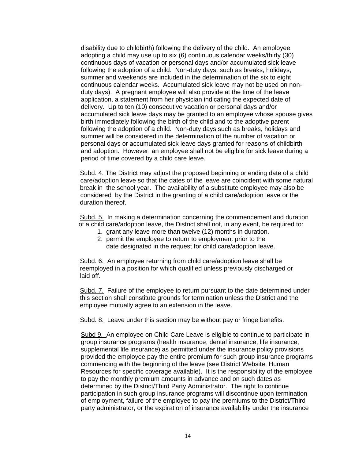disability due to childbirth) following the delivery of the child. An employee adopting a child may use up to six (6) continuous calendar weeks/thirty (30) continuous days of vacation or personal days and/or accumulated sick leave following the adoption of a child. Non-duty days, such as breaks, holidays, summer and weekends are included in the determination of the six to eight continuous calendar weeks. Accumulated sick leave may not be used on nonduty days). A pregnant employee will also provide at the time of the leave application, a statement from her physician indicating the expected date of delivery. Up to ten (10) consecutive vacation or personal days and/or accumulated sick leave days may be granted to an employee whose spouse gives birth immediately following the birth of the child and to the adoptive parent following the adoption of a child. Non-duty days such as breaks, holidays and summer will be considered in the determination of the number of vacation or personal days or accumulated sick leave days granted for reasons of childbirth and adoption. However, an employee shall not be eligible for sick leave during a period of time covered by a child care leave.

Subd. 4. The District may adjust the proposed beginning or ending date of a child care/adoption leave so that the dates of the leave are coincident with some natural break in the school year. The availability of a substitute employee may also be considered by the District in the granting of a child care/adoption leave or the duration thereof.

Subd. 5. In making a determination concerning the commencement and duration of a child care/adoption leave, the District shall not, in any event, be required to:

- 1. grant any leave more than twelve (12) months in duration.
- 2. permit the employee to return to employment prior to the date designated in the request for child care/adoption leave.

Subd. 6. An employee returning from child care/adoption leave shall be reemployed in a position for which qualified unless previously discharged or laid off.

Subd. 7. Failure of the employee to return pursuant to the date determined under this section shall constitute grounds for termination unless the District and the employee mutually agree to an extension in the leave.

Subd. 8. Leave under this section may be without pay or fringe benefits.

Subd 9. An employee on Child Care Leave is eligible to continue to participate in group insurance programs (health insurance, dental insurance, life insurance, supplemental life insurance) as permitted under the insurance policy provisions provided the employee pay the entire premium for such group insurance programs commencing with the beginning of the leave (see District Website, Human Resources for specific coverage available). It is the responsibility of the employee to pay the monthly premium amounts in advance and on such dates as determined by the District/Third Party Administrator. The right to continue participation in such group insurance programs will discontinue upon termination of employment, failure of the employee to pay the premiums to the District/Third party administrator, or the expiration of insurance availability under the insurance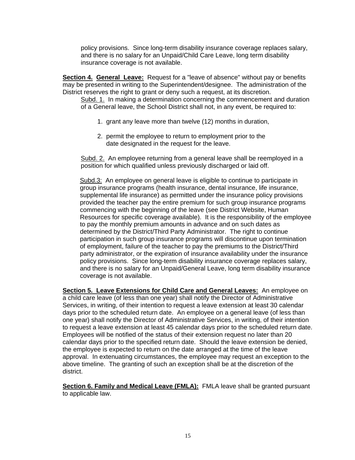policy provisions. Since long-term disability insurance coverage replaces salary, and there is no salary for an Unpaid/Child Care Leave, long term disability insurance coverage is not available.

**Section 4. General Leave:** Request for a "leave of absence" without pay or benefits may be presented in writing to the Superintendent/designee. The administration of the District reserves the right to grant or deny such a request, at its discretion.

Subd. 1. In making a determination concerning the commencement and duration of a General leave, the School District shall not, in any event, be required to:

- 1. grant any leave more than twelve (12) months in duration,
- 2. permit the employee to return to employment prior to the date designated in the request for the leave.

Subd. 2. An employee returning from a general leave shall be reemployed in a position for which qualified unless previously discharged or laid off.

Subd.3: An employee on general leave is eligible to continue to participate in group insurance programs (health insurance, dental insurance, life insurance, supplemental life insurance) as permitted under the insurance policy provisions provided the teacher pay the entire premium for such group insurance programs commencing with the beginning of the leave (see District Website, Human Resources for specific coverage available). It is the responsibility of the employee to pay the monthly premium amounts in advance and on such dates as determined by the District/Third Party Administrator. The right to continue participation in such group insurance programs will discontinue upon termination of employment, failure of the teacher to pay the premiums to the District/Third party administrator, or the expiration of insurance availability under the insurance policy provisions. Since long-term disability insurance coverage replaces salary, and there is no salary for an Unpaid/General Leave, long term disability insurance coverage is not available.

**Section 5. Leave Extensions for Child Care and General Leaves:** An employee on a child care leave (of less than one year) shall notify the Director of Administrative Services, in writing, of their intention to request a leave extension at least 30 calendar days prior to the scheduled return date. An employee on a general leave (of less than one year) shall notify the Director of Administrative Services, in writing, of their intention to request a leave extension at least 45 calendar days prior to the scheduled return date. Employees will be notified of the status of their extension request no later than 20 calendar days prior to the specified return date. Should the leave extension be denied, the employee is expected to return on the date arranged at the time of the leave approval. In extenuating circumstances, the employee may request an exception to the above timeline. The granting of such an exception shall be at the discretion of the district.

**Section 6. Family and Medical Leave (FMLA):** FMLA leave shall be granted pursuant to applicable law.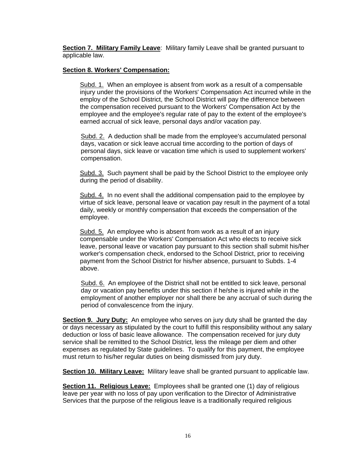**Section 7. Military Family Leave:** Military family Leave shall be granted pursuant to applicable law.

# **Section 8. Workers' Compensation:**

Subd. 1. When an employee is absent from work as a result of a compensable injury under the provisions of the Workers' Compensation Act incurred while in the employ of the School District, the School District will pay the difference between the compensation received pursuant to the Workers' Compensation Act by the employee and the employee's regular rate of pay to the extent of the employee's earned accrual of sick leave, personal days and/or vacation pay.

Subd. 2. A deduction shall be made from the employee's accumulated personal days, vacation or sick leave accrual time according to the portion of days of personal days, sick leave or vacation time which is used to supplement workers' compensation.

Subd. 3. Such payment shall be paid by the School District to the employee only during the period of disability.

Subd. 4. In no event shall the additional compensation paid to the employee by virtue of sick leave, personal leave or vacation pay result in the payment of a total daily, weekly or monthly compensation that exceeds the compensation of the employee.

Subd. 5. An employee who is absent from work as a result of an injury compensable under the Workers' Compensation Act who elects to receive sick leave, personal leave or vacation pay pursuant to this section shall submit his/her worker's compensation check, endorsed to the School District, prior to receiving payment from the School District for his/her absence, pursuant to Subds. 1-4 above.

Subd. 6. An employee of the District shall not be entitled to sick leave, personal day or vacation pay benefits under this section if he/she is injured while in the employment of another employer nor shall there be any accrual of such during the period of convalescence from the injury.

**Section 9. Jury Duty:** An employee who serves on jury duty shall be granted the day or days necessary as stipulated by the court to fulfill this responsibility without any salary deduction or loss of basic leave allowance. The compensation received for jury duty service shall be remitted to the School District, less the mileage per diem and other expenses as regulated by State guidelines. To qualify for this payment, the employee must return to his/her regular duties on being dismissed from jury duty.

**Section 10. Military Leave:** Military leave shall be granted pursuant to applicable law.

**Section 11. Religious Leave:** Employees shall be granted one (1) day of religious leave per year with no loss of pay upon verification to the Director of Administrative Services that the purpose of the religious leave is a traditionally required religious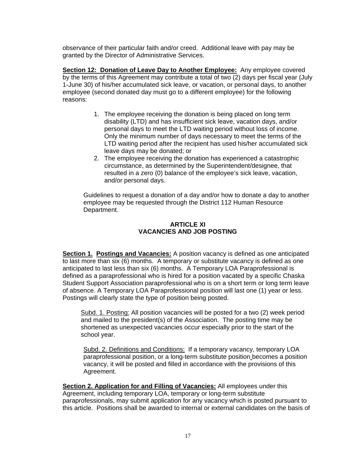observance of their particular faith and/or creed. Additional leave with pay may be granted by the Director of Administrative Services.

**Section 12: Donation of Leave Day to Another Employee:** Any employee covered by the terms of this Agreement may contribute a total of two (2) days per fiscal year (July 1-June 30) of his/her accumulated sick leave, or vacation, or personal days, to another employee (second donated day must go to a different employee) for the following reasons:

- 1. The employee receiving the donation is being placed on long term disability (LTD) and has insufficient sick leave, vacation days, and/or personal days to meet the LTD waiting period without loss of income. Only the minimum number of days necessary to meet the terms of the LTD waiting period after the recipient has used his/her accumulated sick leave days may be donated; or
- 2. The employee receiving the donation has experienced a catastrophic circumstance, as determined by the Superintendent/designee, that resulted in a zero (0) balance of the employee's sick leave, vacation, and/or personal days.

Guidelines to request a donation of a day and/or how to donate a day to another employee may be requested through the District 112 Human Resource Department.

# **ARTICLE XI VACANCIES AND JOB POSTING**

**Section 1. Postings and Vacancies:** A position vacancy is defined as one anticipated to last more than six (6) months. A temporary or substitute vacancy is defined as one anticipated to last less than six (6) months. A Temporary LOA Paraprofessional is defined as a paraprofessional who is hired for a position vacated by a specific Chaska Student Support Association paraprofessional who is on a short term or long term leave of absence. A Temporary LOA Paraprofessional position will last one (1) year or less. Postings will clearly state the type of position being posted.

Subd. 1. Posting: All position vacancies will be posted for a two (2) week period and mailed to the president(s) of the Association. The posting time may be shortened as unexpected vacancies occur especially prior to the start of the school year.

Subd. 2. Definitions and Conditions: If a temporary vacancy, temporary LOA paraprofessional position, or a long-term substitute position becomes a position vacancy, it will be posted and filled in accordance with the provisions of this Agreement.

**Section 2. Application for and Filling of Vacancies:** All employees under this Agreement, including temporary LOA, temporary or long-term substitute paraprofessionals, may submit application for any vacancy which is posted pursuant to this article. Positions shall be awarded to internal or external candidates on the basis of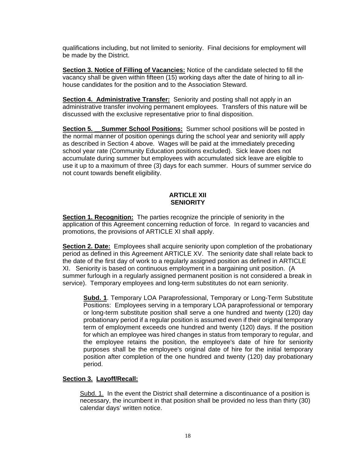qualifications including, but not limited to seniority. Final decisions for employment will be made by the District.

**Section 3. Notice of Filling of Vacancies:** Notice of the candidate selected to fill the vacancy shall be given within fifteen (15) working days after the date of hiring to all inhouse candidates for the position and to the Association Steward.

**Section 4. Administrative Transfer:** Seniority and posting shall not apply in an administrative transfer involving permanent employees. Transfers of this nature will be discussed with the exclusive representative prior to final disposition.

**Section 5.** Summer School Positions: Summer school positions will be posted in the normal manner of position openings during the school year and seniority will apply as described in Section 4 above. Wages will be paid at the immediately preceding school year rate (Community Education positions excluded). Sick leave does not accumulate during summer but employees with accumulated sick leave are eligible to use it up to a maximum of three (3) days for each summer. Hours of summer service do not count towards benefit eligibility.

# **ARTICLE XII SENIORITY**

**Section 1. Recognition:** The parties recognize the principle of seniority in the application of this Agreement concerning reduction of force. In regard to vacancies and promotions, the provisions of ARTICLE XI shall apply.

**Section 2. Date:** Employees shall acquire seniority upon completion of the probationary period as defined in this Agreement ARTICLE XV. The seniority date shall relate back to the date of the first day of work to a regularly assigned position as defined in ARTICLE XI. Seniority is based on continuous employment in a bargaining unit position. (A summer furlough in a regularly assigned permanent position is not considered a break in service). Temporary employees and long-term substitutes do not earn seniority.

**Subd. 1**. Temporary LOA Paraprofessional, Temporary or Long-Term Substitute Positions: Employees serving in a temporary LOA paraprofessional or temporary or long-term substitute position shall serve a one hundred and twenty (120) day probationary period if a regular position is assumed even if their original temporary term of employment exceeds one hundred and twenty (120) days. If the position for which an employee was hired changes in status from temporary to regular, and the employee retains the position, the employee's date of hire for seniority purposes shall be the employee's original date of hire for the initial temporary position after completion of the one hundred and twenty (120) day probationary period.

# **Section 3. Layoff/Recall:**

Subd. 1. In the event the District shall determine a discontinuance of a position is necessary, the incumbent in that position shall be provided no less than thirty (30) calendar days' written notice.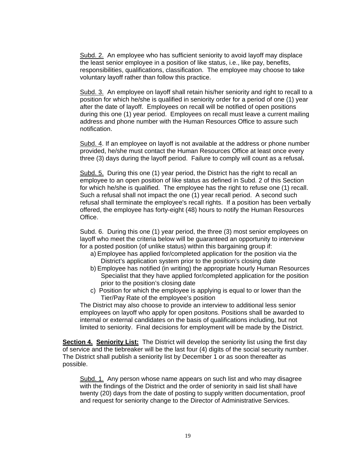Subd. 2. An employee who has sufficient seniority to avoid layoff may displace the least senior employee in a position of like status, i.e., like pay, benefits, responsibilities, qualifications, classification. The employee may choose to take voluntary layoff rather than follow this practice.

Subd. 3. An employee on layoff shall retain his/her seniority and right to recall to a position for which he/she is qualified in seniority order for a period of one (1) year after the date of layoff. Employees on recall will be notified of open positions during this one (1) year period. Employees on recall must leave a current mailing address and phone number with the Human Resources Office to assure such notification.

Subd. 4. If an employee on layoff is not available at the address or phone number provided, he/she must contact the Human Resources Office at least once every three (3) days during the layoff period. Failure to comply will count as a refusal**.**

Subd. 5. During this one (1) year period, the District has the right to recall an employee to an open position of like status as defined in Subd. 2 of this Section for which he/she is qualified. The employee has the right to refuse one (1) recall. Such a refusal shall not impact the one (1) year recall period. A second such refusal shall terminate the employee's recall rights.If a position has been verbally offered, the employee has forty-eight (48) hours to notify the Human Resources Office.

Subd. 6. During this one (1) year period, the three (3) most senior employees on layoff who meet the criteria below will be guaranteed an opportunity to interview for a posted position (of unlike status) within this bargaining group if:

- a) Employee has applied for/completed application for the position via the District's application system prior to the position's closing date
- b) Employee has notified (in writing) the appropriate hourly Human Resources Specialist that they have applied for/completed application for the position prior to the position's closing date
- c) Position for which the employee is applying is equal to or lower than the Tier/Pay Rate of the employee's position

The District may also choose to provide an interview to additional less senior employees on layoff who apply for open positons. Positions shall be awarded to internal or external candidates on the basis of qualifications including, but not limited to seniority. Final decisions for employment will be made by the District.

**Section 4. Seniority List:** The District will develop the seniority list using the first day of service and the tiebreaker will be the last four (4) digits of the social security number. The District shall publish a seniority list by December 1 or as soon thereafter as possible.

Subd. 1. Any person whose name appears on such list and who may disagree with the findings of the District and the order of seniority in said list shall have twenty (20) days from the date of posting to supply written documentation, proof and request for seniority change to the Director of Administrative Services.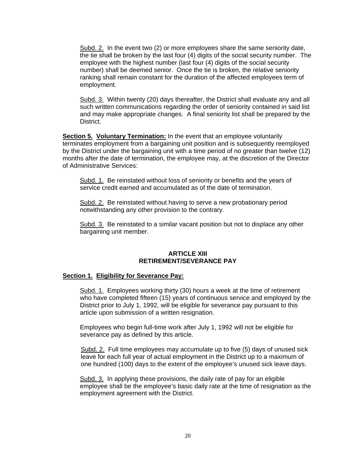Subd. 2. In the event two (2) or more employees share the same seniority date, the tie shall be broken by the last four (4) digits of the social security number. The employee with the highest number (last four (4) digits of the social security number) shall be deemed senior. Once the tie is broken, the relative seniority ranking shall remain constant for the duration of the affected employees term of employment.

Subd. 3. Within twenty (20) days thereafter, the District shall evaluate any and all such written communications regarding the order of seniority contained in said list and may make appropriate changes. A final seniority list shall be prepared by the District.

**Section 5. Voluntary Termination:** In the event that an employee voluntarily terminates employment from a bargaining unit position and is subsequently reemployed by the District under the bargaining unit with a time period of no greater than twelve (12) months after the date of termination, the employee may, at the discretion of the Director of Administrative Services:

Subd. 1. Be reinstated without loss of seniority or benefits and the years of service credit earned and accumulated as of the date of termination.

Subd. 2. Be reinstated without having to serve a new probationary period notwithstanding any other provision to the contrary.

Subd. 3. Be reinstated to a similar vacant position but not to displace any other bargaining unit member.

#### **ARTICLE XIII RETIREMENT/SEVERANCE PAY**

#### **Section 1. Eligibility for Severance Pay:**

Subd. 1. Employees working thirty (30) hours a week at the time of retirement who have completed fifteen (15) years of continuous service and employed by the District prior to July 1, 1992, will be eligible for severance pay pursuant to this article upon submission of a written resignation.

Employees who begin full-time work after July 1, 1992 will not be eligible for severance pay as defined by this article.

Subd. 2. Full time employees may accumulate up to five (5) days of unused sick leave for each full year of actual employment in the District up to a maximum of one hundred (100) days to the extent of the employee's unused sick leave days.

Subd. 3. In applying these provisions, the daily rate of pay for an eligible employee shall be the employee's basic daily rate at the time of resignation as the employment agreement with the District.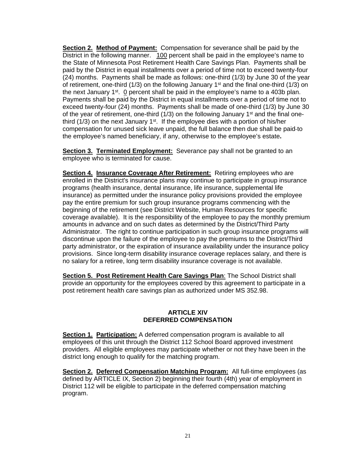**Section 2. Method of Payment:** Compensation for severance shall be paid by the District in the following manner. 100 percent shall be paid in the employee's name to the State of Minnesota Post Retirement Health Care Savings Plan. Payments shall be paid by the District in equal installments over a period of time not to exceed twenty-four (24) months. Payments shall be made as follows: one-third (1/3) by June 30 of the year of retirement, one-third (1/3) on the following January 1<sup>st</sup> and the final one-third (1/3) on the next January  $1^{st}$ .  $\Omega$  percent shall be paid in the employee's name to a 403b plan. Payments shall be paid by the District in equal installments over a period of time not to exceed twenty-four (24) months. Payments shall be made of one-third (1/3) by June 30 of the year of retirement, one-third  $(1/3)$  on the following January 1<sup>st</sup> and the final onethird  $(1/3)$  on the next January  $1<sup>st</sup>$ . If the employee dies with a portion of his/her compensation for unused sick leave unpaid, the full balance then due shall be paid to the employee's named beneficiary, if any, otherwise to the employee's estate**.**

**Section 3. Terminated Employment:** Severance pay shall not be granted to an employee who is terminated for cause.

**Section 4. Insurance Coverage After Retirement:** Retiring employees who are enrolled in the District's insurance plans may continue to participate in group insurance programs (health insurance, dental insurance, life insurance, supplemental life insurance) as permitted under the insurance policy provisions provided the employee pay the entire premium for such group insurance programs commencing with the beginning of the retirement (see District Website, Human Resources for specific coverage available). It is the responsibility of the employee to pay the monthly premium amounts in advance and on such dates as determined by the District/Third Party Administrator. The right to continue participation in such group insurance programs will discontinue upon the failure of the employee to pay the premiums to the District/Third party administrator, or the expiration of insurance availability under the insurance policy provisions. Since long-term disability insurance coverage replaces salary, and there is no salary for a retiree, long term disability insurance coverage is not available.

**Section 5. Post Retirement Health Care Savings Plan**: The School District shall provide an opportunity for the employees covered by this agreement to participate in a post retirement health care savings plan as authorized under MS 352.98.

#### **ARTICLE XIV DEFERRED COMPENSATION**

**Section 1. Participation:** A deferred compensation program is available to all employees of this unit through the District 112 School Board approved investment providers. All eligible employees may participate whether or not they have been in the district long enough to qualify for the matching program.

**Section 2. Deferred Compensation Matching Program:** All full-time employees (as defined by ARTICLE IX, Section 2) beginning their fourth (4th) year of employment in District 112 will be eligible to participate in the deferred compensation matching program.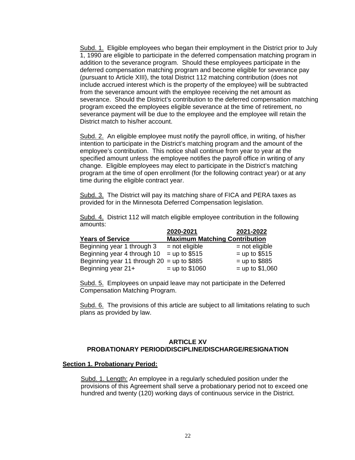Subd. 1. Eligible employees who began their employment in the District prior to July 1, 1990 are eligible to participate in the deferred compensation matching program in addition to the severance program. Should these employees participate in the deferred compensation matching program and become eligible for severance pay (pursuant to Article XIII), the total District 112 matching contribution (does not include accrued interest which is the property of the employee) will be subtracted from the severance amount with the employee receiving the net amount as severance. Should the District's contribution to the deferred compensation matching program exceed the employees eligible severance at the time of retirement, no severance payment will be due to the employee and the employee will retain the District match to his/her account.

Subd. 2. An eligible employee must notify the payroll office, in writing, of his/her intention to participate in the District's matching program and the amount of the employee's contribution. This notice shall continue from year to year at the specified amount unless the employee notifies the payroll office in writing of any change. Eligible employees may elect to participate in the District's matching program at the time of open enrollment (for the following contract year) or at any time during the eligible contract year.

Subd. 3. The District will pay its matching share of FICA and PERA taxes as provided for in the Minnesota Deferred Compensation legislation.

Subd. 4. District 112 will match eligible employee contribution in the following amounts:

|                                              | 2020-2021                            | 2021-2022         |
|----------------------------------------------|--------------------------------------|-------------------|
| <b>Years of Service</b>                      | <b>Maximum Matching Contribution</b> |                   |
| Beginning year 1 through 3                   | $=$ not eligible                     | $=$ not eligible  |
| Beginning year 4 through 10                  | $=$ up to \$515                      | $=$ up to \$515   |
| Beginning year 11 through $20 =$ up to \$885 |                                      | $=$ up to \$885   |
| Beginning year 21+                           | $=$ up to \$1060                     | $=$ up to \$1,060 |

Subd. 5. Employees on unpaid leave may not participate in the Deferred Compensation Matching Program.

Subd. 6. The provisions of this article are subject to all limitations relating to such plans as provided by law.

#### **ARTICLE XV PROBATIONARY PERIOD/DISCIPLINE/DISCHARGE/RESIGNATION**

#### **Section 1. Probationary Period:**

Subd. 1. Length: An employee in a regularly scheduled position under the provisions of this Agreement shall serve a probationary period not to exceed one hundred and twenty (120) working days of continuous service in the District.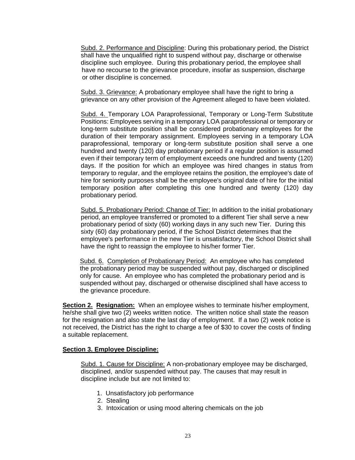Subd. 2. Performance and Discipline: During this probationary period, the District shall have the unqualified right to suspend without pay, discharge or otherwise discipline such employee. During this probationary period, the employee shall have no recourse to the grievance procedure, insofar as suspension, discharge or other discipline is concerned.

Subd. 3. Grievance: A probationary employee shall have the right to bring a grievance on any other provision of the Agreement alleged to have been violated.

Subd. 4. Temporary LOA Paraprofessional, Temporary or Long-Term Substitute Positions: Employees serving in a temporary LOA paraprofessional or temporary or long-term substitute position shall be considered probationary employees for the duration of their temporary assignment. Employees serving in a temporary LOA paraprofessional, temporary or long-term substitute position shall serve a one hundred and twenty (120) day probationary period if a regular position is assumed even if their temporary term of employment exceeds one hundred and twenty (120) days. If the position for which an employee was hired changes in status from temporary to regular, and the employee retains the position, the employee's date of hire for seniority purposes shall be the employee's original date of hire for the initial temporary position after completing this one hundred and twenty (120) day probationary period.

Subd. 5. Probationary Period: Change of Tier: In addition to the initial probationary period, an employee transferred or promoted to a different Tier shall serve a new probationary period of sixty (60) working days in any such new Tier. During this sixty (60) day probationary period, if the School District determines that the employee's performance in the new Tier is unsatisfactory, the School District shall have the right to reassign the employee to his/her former Tier.

Subd. 6. Completion of Probationary Period: An employee who has completed the probationary period may be suspended without pay, discharged or disciplined only for cause. An employee who has completed the probationary period and is suspended without pay, discharged or otherwise disciplined shall have access to the grievance procedure.

**Section 2. Resignation:** When an employee wishes to terminate his/her employment, he/she shall give two (2) weeks written notice. The written notice shall state the reason for the resignation and also state the last day of employment. If a two (2) week notice is not received, the District has the right to charge a fee of \$30 to cover the costs of finding a suitable replacement.

#### **Section 3. Employee Discipline:**

Subd. 1. Cause for Discipline: A non-probationary employee may be discharged, disciplined, and/or suspended without pay. The causes that may result in discipline include but are not limited to:

- 1. Unsatisfactory job performance
- 2. Stealing
- 3. Intoxication or using mood altering chemicals on the job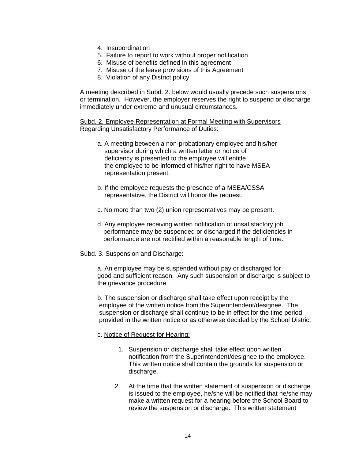- 4. Insubordination
- 5. Failure to report to work without proper notification
- 6. Misuse of benefits defined in this agreement
- 7. Misuse of the leave provisions of this Agreement
- 8. Violation of any District policy.

A meeting described in Subd. 2. below would usually precede such suspensions or termination. However, the employer reserves the right to suspend or discharge immediately under extreme and unusual circumstances.

Subd. 2. Employee Representation at Formal Meeting with Supervisors Regarding Unsatisfactory Performance of Duties:

- a. A meeting between a non-probationary employee and his/her supervisor during which a written letter or notice of deficiency is presented to the employee will entitle the employee to be informed of his/her right to have MSEA representation present.
- b. If the employee requests the presence of a MSEA/CSSA representative, the District will honor the request.
- c. No more than two (2) union representatives may be present.
- d. Any employee receiving written notification of unsatisfactory job performance may be suspended or discharged if the deficiencies in performance are not rectified within a reasonable length of time.

#### Subd. 3. Suspension and Discharge:

a. An employee may be suspended without pay or discharged for good and sufficient reason. Any such suspension or discharge is subject to the grievance procedure.

b. The suspension or discharge shall take effect upon receipt by the employee of the written notice from the Superintendent/designee. The suspension or discharge shall continue to be in effect for the time period provided in the written notice or as otherwise decided by the School District

#### c. Notice of Request for Hearing:

- 1. Suspension or discharge shall take effect upon written notification from the Superintendent/designee to the employee. This written notice shall contain the grounds for suspension or discharge.
- 2. At the time that the written statement of suspension or discharge is issued to the employee, he/she will be notified that he/she may make a written request for a hearing before the School Board to review the suspension or discharge. This written statement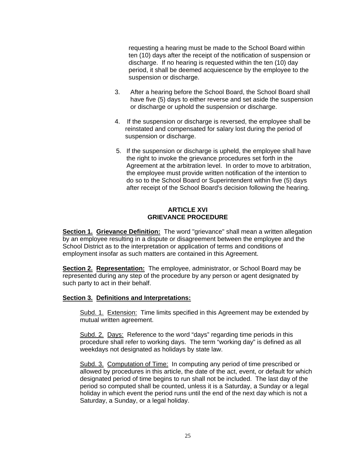requesting a hearing must be made to the School Board within ten (10) days after the receipt of the notification of suspension or discharge. If no hearing is requested within the ten (10) day period, it shall be deemed acquiescence by the employee to the suspension or discharge.

- 3. After a hearing before the School Board, the School Board shall have five (5) days to either reverse and set aside the suspension or discharge or uphold the suspension or discharge.
- 4. If the suspension or discharge is reversed, the employee shall be reinstated and compensated for salary lost during the period of suspension or discharge.
- 5. If the suspension or discharge is upheld, the employee shall have the right to invoke the grievance procedures set forth in the Agreement at the arbitration level. In order to move to arbitration, the employee must provide written notification of the intention to do so to the School Board or Superintendent within five (5) days after receipt of the School Board's decision following the hearing.

# **ARTICLE XVI GRIEVANCE PROCEDURE**

**Section 1. Grievance Definition:** The word "grievance" shall mean a written allegation by an employee resulting in a dispute or disagreement between the employee and the School District as to the interpretation or application of terms and conditions of employment insofar as such matters are contained in this Agreement.

**Section 2. Representation:** The employee, administrator, or School Board may be represented during any step of the procedure by any person or agent designated by such party to act in their behalf.

#### **Section 3. Definitions and Interpretations:**

Subd. 1. Extension: Time limits specified in this Agreement may be extended by mutual written agreement.

Subd. 2. Days: Reference to the word "days" regarding time periods in this procedure shall refer to working days. The term "working day" is defined as all weekdays not designated as holidays by state law.

Subd. 3. Computation of Time: In computing any period of time prescribed or allowed by procedures in this article, the date of the act, event, or default for which designated period of time begins to run shall not be included. The last day of the period so computed shall be counted, unless it is a Saturday, a Sunday or a legal holiday in which event the period runs until the end of the next day which is not a Saturday, a Sunday, or a legal holiday.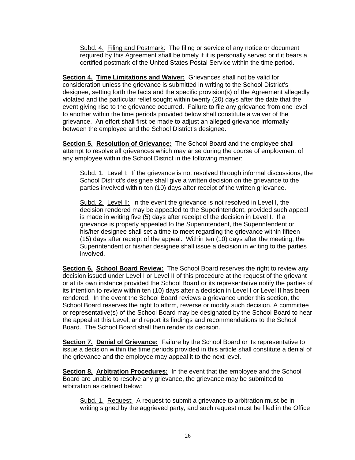Subd. 4. Filing and Postmark: The filing or service of any notice or document required by this Agreement shall be timely if it is personally served or if it bears a certified postmark of the United States Postal Service within the time period.

**Section 4. Time Limitations and Waiver:** Grievances shall not be valid for consideration unless the grievance is submitted in writing to the School District's designee, setting forth the facts and the specific provision(s) of the Agreement allegedly violated and the particular relief sought within twenty (20) days after the date that the event giving rise to the grievance occurred. Failure to file any grievance from one level to another within the time periods provided below shall constitute a waiver of the grievance. An effort shall first be made to adjust an alleged grievance informally between the employee and the School District's designee.

**Section 5. Resolution of Grievance:** The School Board and the employee shall attempt to resolve all grievances which may arise during the course of employment of any employee within the School District in the following manner:

Subd. 1. Level I: If the grievance is not resolved through informal discussions, the School District's designee shall give a written decision on the grievance to the parties involved within ten (10) days after receipt of the written grievance.

Subd. 2. Level II: In the event the grievance is not resolved in Level I, the decision rendered may be appealed to the Superintendent, provided such appeal is made in writing five (5) days after receipt of the decision in Level I. If a grievance is properly appealed to the Superintendent, the Superintendent or his/her designee shall set a time to meet regarding the grievance within fifteen (15) days after receipt of the appeal. Within ten (10) days after the meeting, the Superintendent or his/her designee shall issue a decision in writing to the parties involved.

**Section 6. School Board Review:** The School Board reserves the right to review any decision issued under Level I or Level II of this procedure at the request of the grievant or at its own instance provided the School Board or its representative notify the parties of its intention to review within ten (10) days after a decision in Level I or Level II has been rendered. In the event the School Board reviews a grievance under this section, the School Board reserves the right to affirm, reverse or modify such decision. A committee or representative(s) of the School Board may be designated by the School Board to hear the appeal at this Level, and report its findings and recommendations to the School Board. The School Board shall then render its decision.

**Section 7. Denial of Grievance:** Failure by the School Board or its representative to issue a decision within the time periods provided in this article shall constitute a denial of the grievance and the employee may appeal it to the next level.

**Section 8. Arbitration Procedures:** In the event that the employee and the School Board are unable to resolve any grievance, the grievance may be submitted to arbitration as defined below:

Subd. 1. Request: A request to submit a grievance to arbitration must be in writing signed by the aggrieved party, and such request must be filed in the Office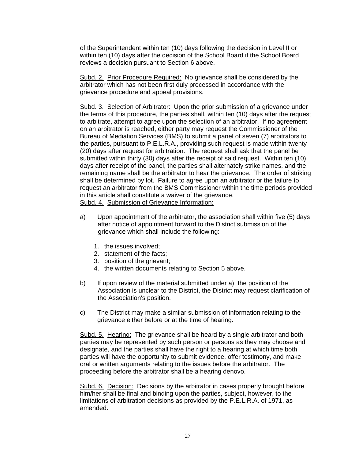of the Superintendent within ten (10) days following the decision in Level II or within ten (10) days after the decision of the School Board if the School Board reviews a decision pursuant to Section 6 above.

Subd. 2. Prior Procedure Required: No grievance shall be considered by the arbitrator which has not been first duly processed in accordance with the grievance procedure and appeal provisions.

Subd. 3. Selection of Arbitrator: Upon the prior submission of a grievance under the terms of this procedure, the parties shall, within ten (10) days after the request to arbitrate, attempt to agree upon the selection of an arbitrator. If no agreement on an arbitrator is reached, either party may request the Commissioner of the Bureau of Mediation Services (BMS) to submit a panel of seven (7) arbitrators to the parties, pursuant to P.E.L.R.A., providing such request is made within twenty (20) days after request for arbitration. The request shall ask that the panel be submitted within thirty (30) days after the receipt of said request. Within ten (10) days after receipt of the panel, the parties shall alternately strike names, and the remaining name shall be the arbitrator to hear the grievance. The order of striking shall be determined by lot. Failure to agree upon an arbitrator or the failure to request an arbitrator from the BMS Commissioner within the time periods provided in this article shall constitute a waiver of the grievance. Subd. 4. Submission of Grievance Information:

- a) Upon appointment of the arbitrator, the association shall within five (5) days after notice of appointment forward to the District submission of the grievance which shall include the following:
	- 1. the issues involved;
	- 2. statement of the facts;
	- 3. position of the grievant;
	- 4. the written documents relating to Section 5 above.
- b) If upon review of the material submitted under a), the position of the Association is unclear to the District, the District may request clarification of the Association's position.
- c) The District may make a similar submission of information relating to the grievance either before or at the time of hearing.

Subd. 5. Hearing: The grievance shall be heard by a single arbitrator and both parties may be represented by such person or persons as they may choose and designate, and the parties shall have the right to a hearing at which time both parties will have the opportunity to submit evidence, offer testimony, and make oral or written arguments relating to the issues before the arbitrator. The proceeding before the arbitrator shall be a hearing denovo.

Subd. 6. Decision: Decisions by the arbitrator in cases properly brought before him/her shall be final and binding upon the parties, subject, however, to the limitations of arbitration decisions as provided by the P.E.L.R.A. of 1971, as amended.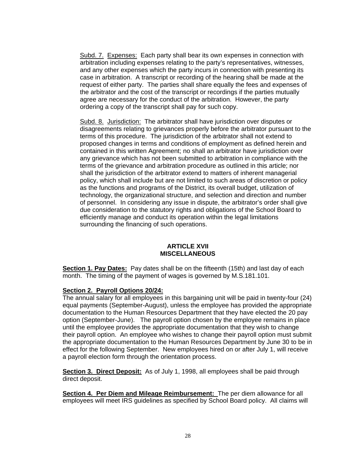Subd. 7. Expenses: Each party shall bear its own expenses in connection with arbitration including expenses relating to the party's representatives, witnesses, and any other expenses which the party incurs in connection with presenting its case in arbitration. A transcript or recording of the hearing shall be made at the request of either party. The parties shall share equally the fees and expenses of the arbitrator and the cost of the transcript or recordings if the parties mutually agree are necessary for the conduct of the arbitration. However, the party ordering a copy of the transcript shall pay for such copy.

Subd. 8. Jurisdiction: The arbitrator shall have jurisdiction over disputes or disagreements relating to grievances properly before the arbitrator pursuant to the terms of this procedure. The jurisdiction of the arbitrator shall not extend to proposed changes in terms and conditions of employment as defined herein and contained in this written Agreement; no shall an arbitrator have jurisdiction over any grievance which has not been submitted to arbitration in compliance with the terms of the grievance and arbitration procedure as outlined in this article; nor shall the jurisdiction of the arbitrator extend to matters of inherent managerial policy, which shall include but are not limited to such areas of discretion or policy as the functions and programs of the District, its overall budget, utilization of technology, the organizational structure, and selection and direction and number of personnel. In considering any issue in dispute, the arbitrator's order shall give due consideration to the statutory rights and obligations of the School Board to efficiently manage and conduct its operation within the legal limitations surrounding the financing of such operations.

## **ARTICLE XVII MISCELLANEOUS**

**Section 1. Pay Dates:** Pay dates shall be on the fifteenth (15th) and last day of each month. The timing of the payment of wages is governed by M.S.181.101.

# **Section 2. Payroll Options 20/24:**

The annual salary for all employees in this bargaining unit will be paid in twenty-four (24) equal payments (September-August), unless the employee has provided the appropriate documentation to the Human Resources Department that they have elected the 20 pay option (September-June). The payroll option chosen by the employee remains in place until the employee provides the appropriate documentation that they wish to change their payroll option. An employee who wishes to change their payroll option must submit the appropriate documentation to the Human Resources Department by June 30 to be in effect for the following September. New employees hired on or after July 1, will receive a payroll election form through the orientation process.

**Section 3. Direct Deposit:** As of July 1, 1998, all employees shall be paid through direct deposit.

**Section 4. Per Diem and Mileage Reimbursement:** The per diem allowance for all employees will meet IRS guidelines as specified by School Board policy. All claims will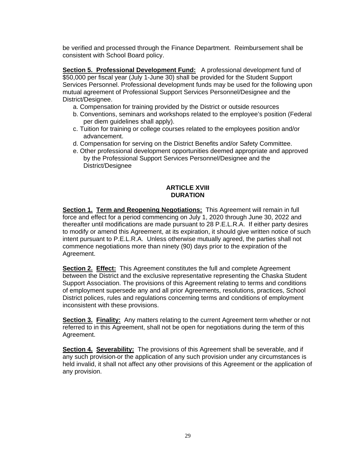be verified and processed through the Finance Department. Reimbursement shall be consistent with School Board policy.

**Section 5. Professional Development Fund:** A professional development fund of \$50,000 per fiscal year (July 1-June 30) shall be provided for the Student Support Services Personnel. Professional development funds may be used for the following upon mutual agreement of Professional Support Services Personnel/Designee and the District/Designee.

- a. Compensation for training provided by the District or outside resources
- b. Conventions, seminars and workshops related to the employee's position (Federal per diem guidelines shall apply).
- c. Tuition for training or college courses related to the employees position and/or advancement.
- d. Compensation for serving on the District Benefits and/or Safety Committee.
- e. Other professional development opportunities deemed appropriate and approved by the Professional Support Services Personnel/Designee and the District/Designee

## **ARTICLE XVIII DURATION**

**Section 1. Term and Reopening Negotiations:** This Agreement will remain in full force and effect for a period commencing on July 1, 2020 through June 30, 2022 and thereafter until modifications are made pursuant to 28 P.E.L.R.A. If either party desires to modify or amend this Agreement, at its expiration, it should give written notice of such intent pursuant to P.E.L.R.A. Unless otherwise mutually agreed, the parties shall not commence negotiations more than ninety (90) days prior to the expiration of the Agreement.

**Section 2. Effect:** This Agreement constitutes the full and complete Agreement between the District and the exclusive representative representing the Chaska Student Support Association. The provisions of this Agreement relating to terms and conditions of employment supersede any and all prior Agreements, resolutions, practices, School District polices, rules and regulations concerning terms and conditions of employment inconsistent with these provisions.

**Section 3. Finality:** Any matters relating to the current Agreement term whether or not referred to in this Agreement, shall not be open for negotiations during the term of this Agreement.

**Section 4. Severability:** The provisions of this Agreement shall be severable, and if any such provision or the application of any such provision under any circumstances is held invalid, it shall not affect any other provisions of this Agreement or the application of any provision.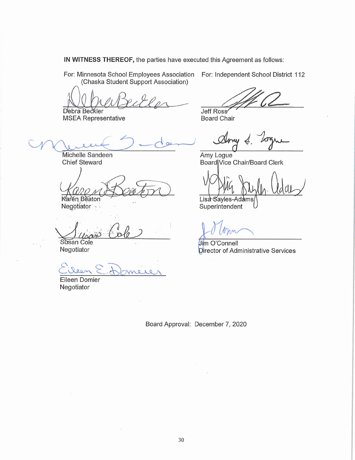IN WITNESS THEREOF, the parties have executed this Agreement as follows:

For: Minnesota School Employees Association (Chaska Student Support Association)

 $202$ Debra Beckler

**MSEA Representative** 

Michelle Sandeen **Chief Steward** 

Karen Beaton

Negotiator

Susan Cole Negotiator

 $\alpha$  $\circ$ 

 $\lambda$ 

Eileen Domier Negotiator

For: Independent School District 112

**Jeff Ross** 

**Board Chair** 

Amy Logue Board Vice Chair/Board Clerk

Lisa Savles-Adams Superintendent

**Jim O'Connell** Director of Administrative Services

Board Approval: December 7, 2020